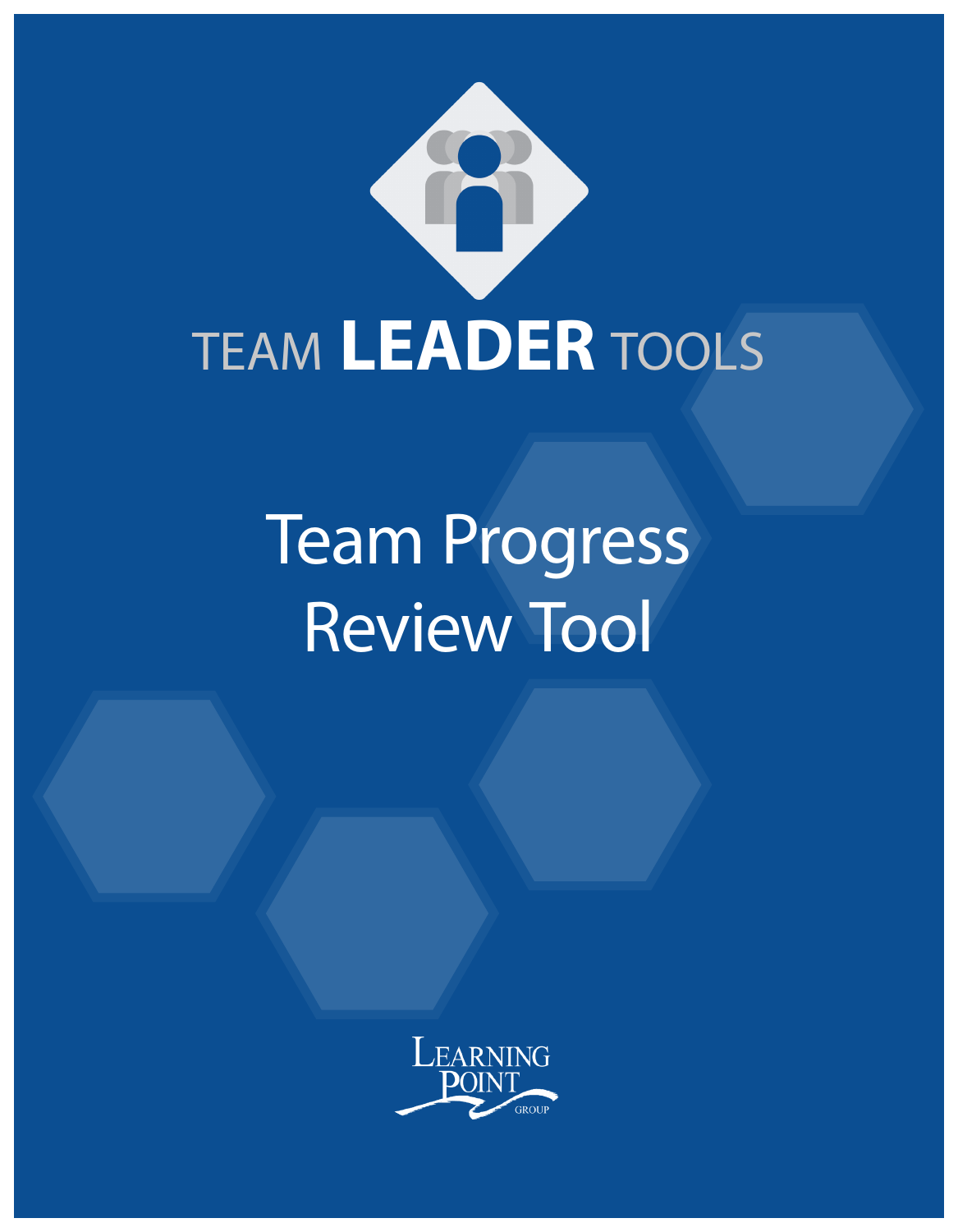

# Team Progress Review Tool

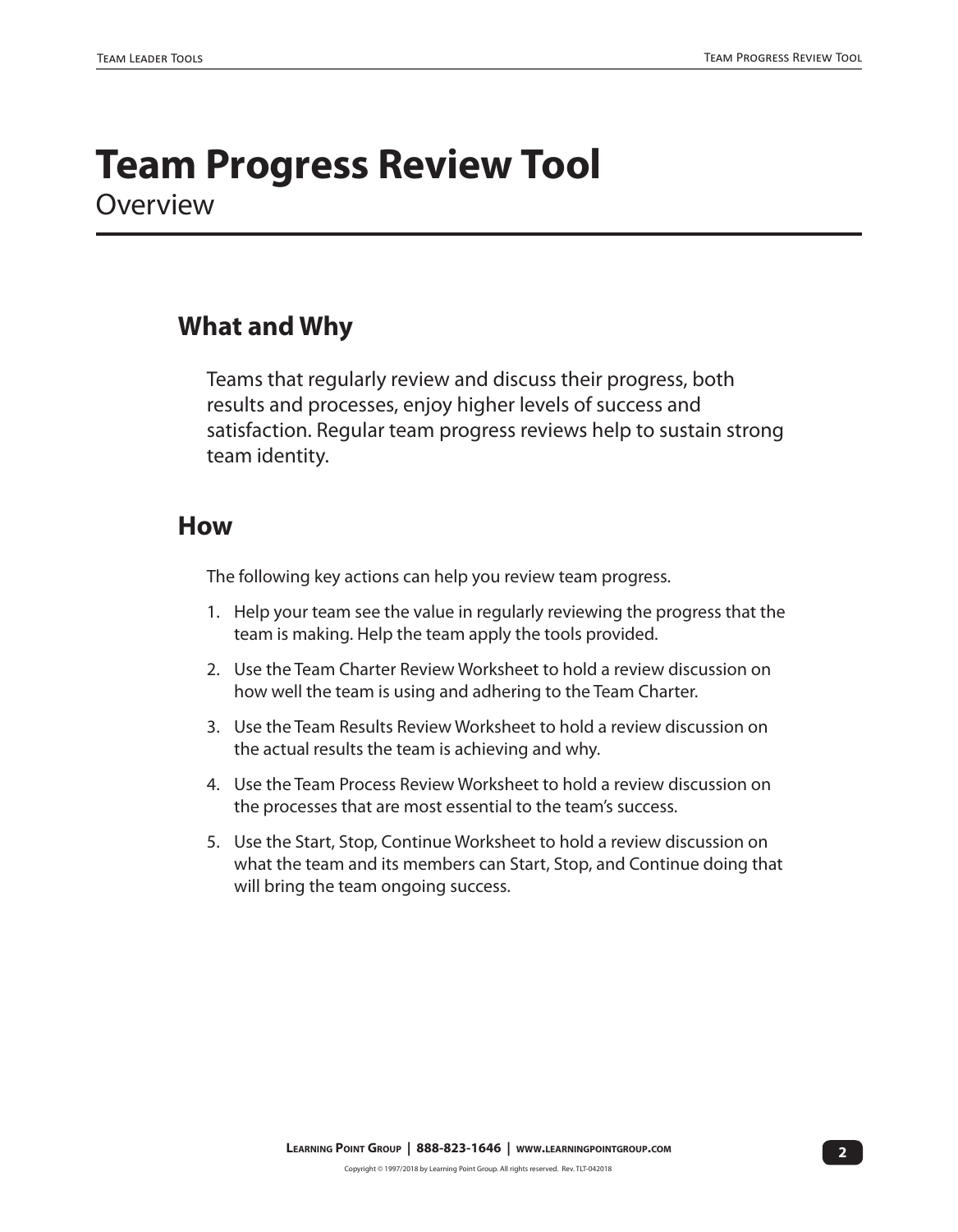### **Team Progress Review Tool Overview**

#### **What and Why**

Teams that regularly review and discuss their progress, both results and processes, enjoy higher levels of success and satisfaction. Regular team progress reviews help to sustain strong team identity.

#### **How**

The following key actions can help you review team progress.

- 1. Help your team see the value in regularly reviewing the progress that the team is making. Help the team apply the tools provided.
- 2. Use the Team Charter Review Worksheet to hold a review discussion on how well the team is using and adhering to the Team Charter.
- 3. Use the Team Results Review Worksheet to hold a review discussion on the actual results the team is achieving and why.
- 4. Use the Team Process Review Worksheet to hold a review discussion on the processes that are most essential to the team's success.
- 5. Use the Start, Stop, Continue Worksheet to hold a review discussion on what the team and its members can Start, Stop, and Continue doing that will bring the team ongoing success.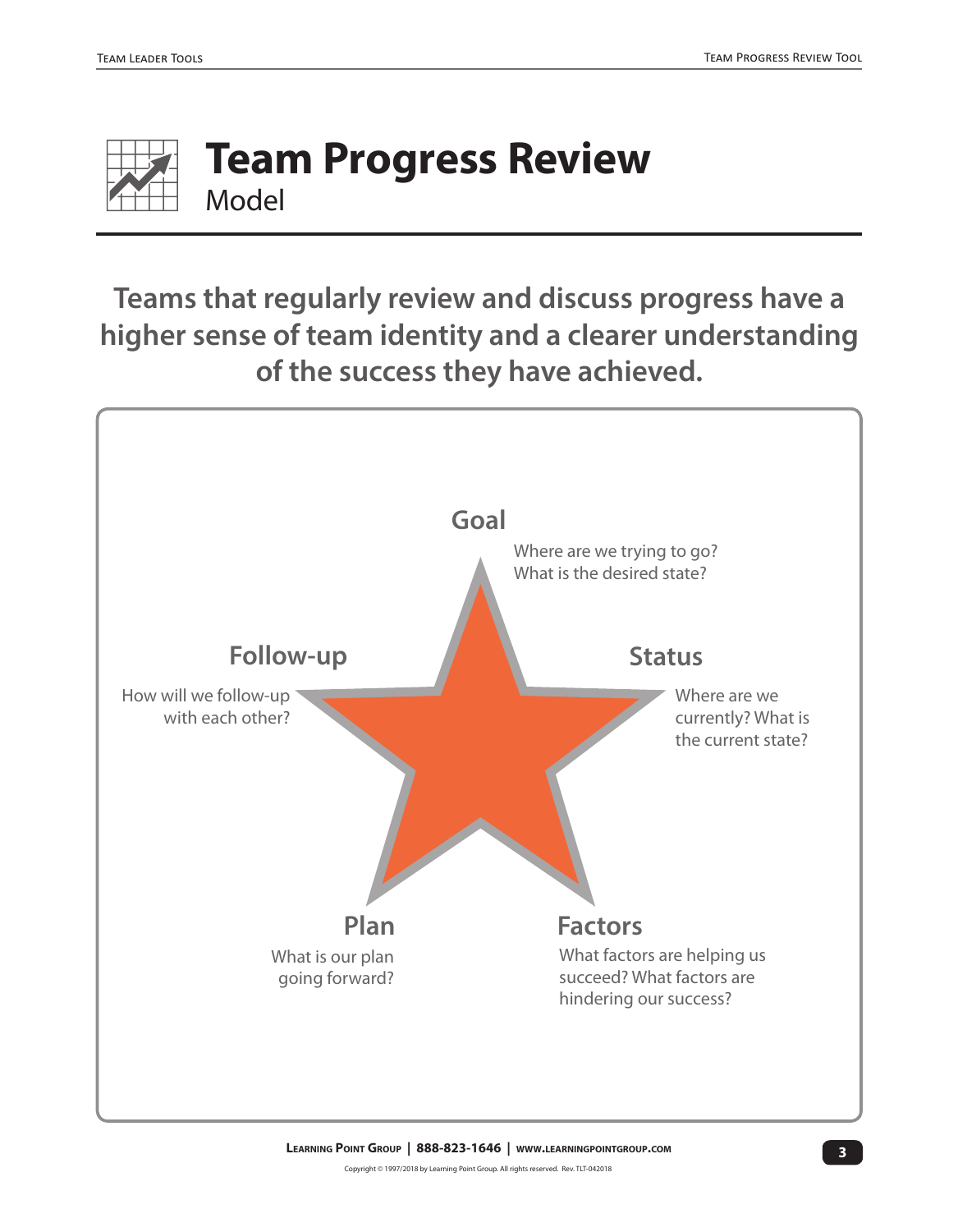

## **Team Progress Review** Model

**Teams that regularly review and discuss progress have a higher sense of team identity and a clearer understanding of the success they have achieved.**

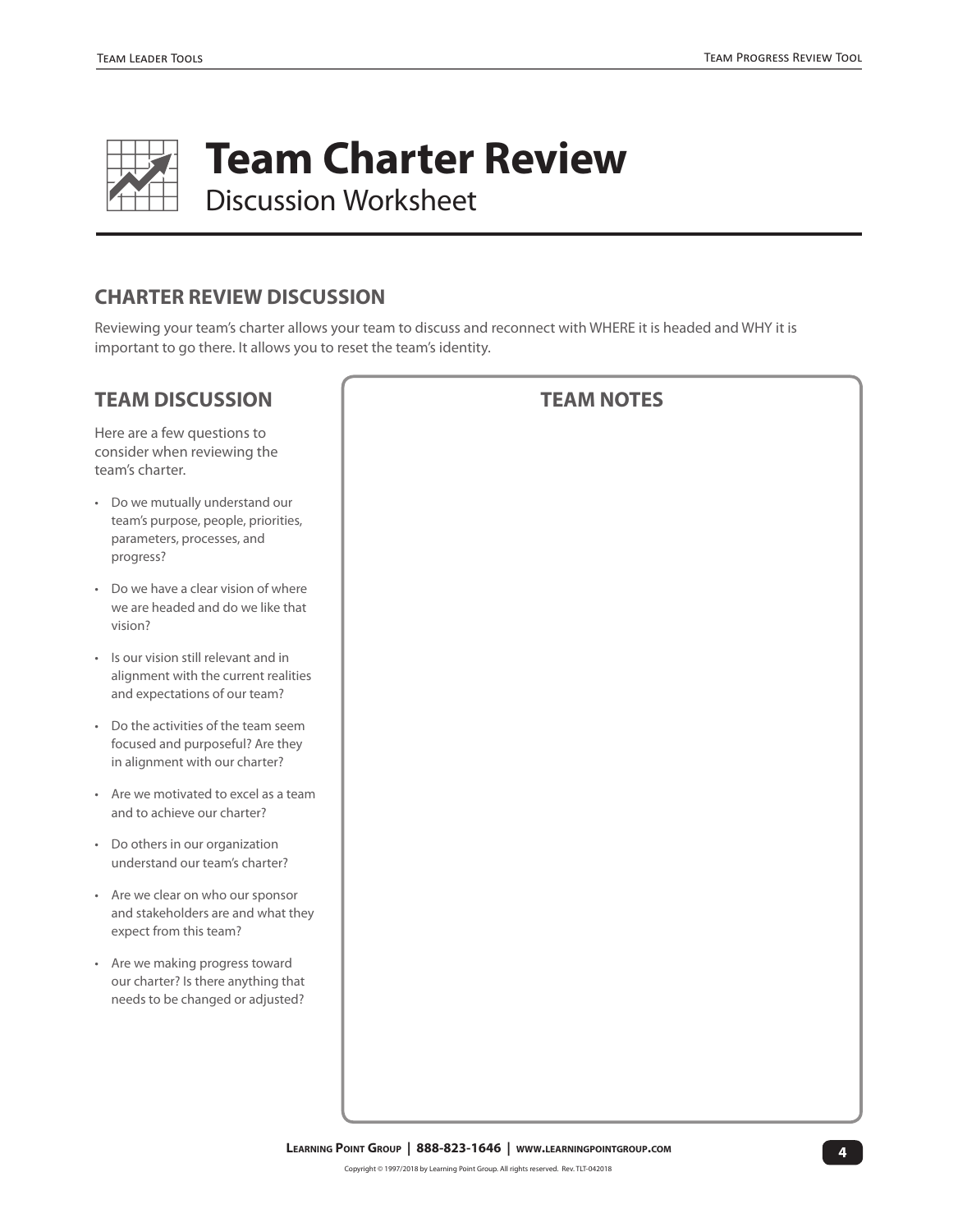

**Team Charter Review** 

Discussion Worksheet

#### **CHARTER REVIEW DISCUSSION**

Reviewing your team's charter allows your team to discuss and reconnect with WHERE it is headed and WHY it is important to go there. It allows you to reset the team's identity.

#### **TEAM DISCUSSION**

Here are a few questions to consider when reviewing the team's charter.

- Do we mutually understand our team's purpose, people, priorities, parameters, processes, and progress?
- Do we have a clear vision of where we are headed and do we like that vision?
- Is our vision still relevant and in alignment with the current realities and expectations of our team?
- Do the activities of the team seem focused and purposeful? Are they in alignment with our charter?
- Are we motivated to excel as a team and to achieve our charter?
- Do others in our organization understand our team's charter?
- Are we clear on who our sponsor and stakeholders are and what they expect from this team?
- Are we making progress toward our charter? Is there anything that needs to be changed or adjusted?

#### **TEAM NOTES**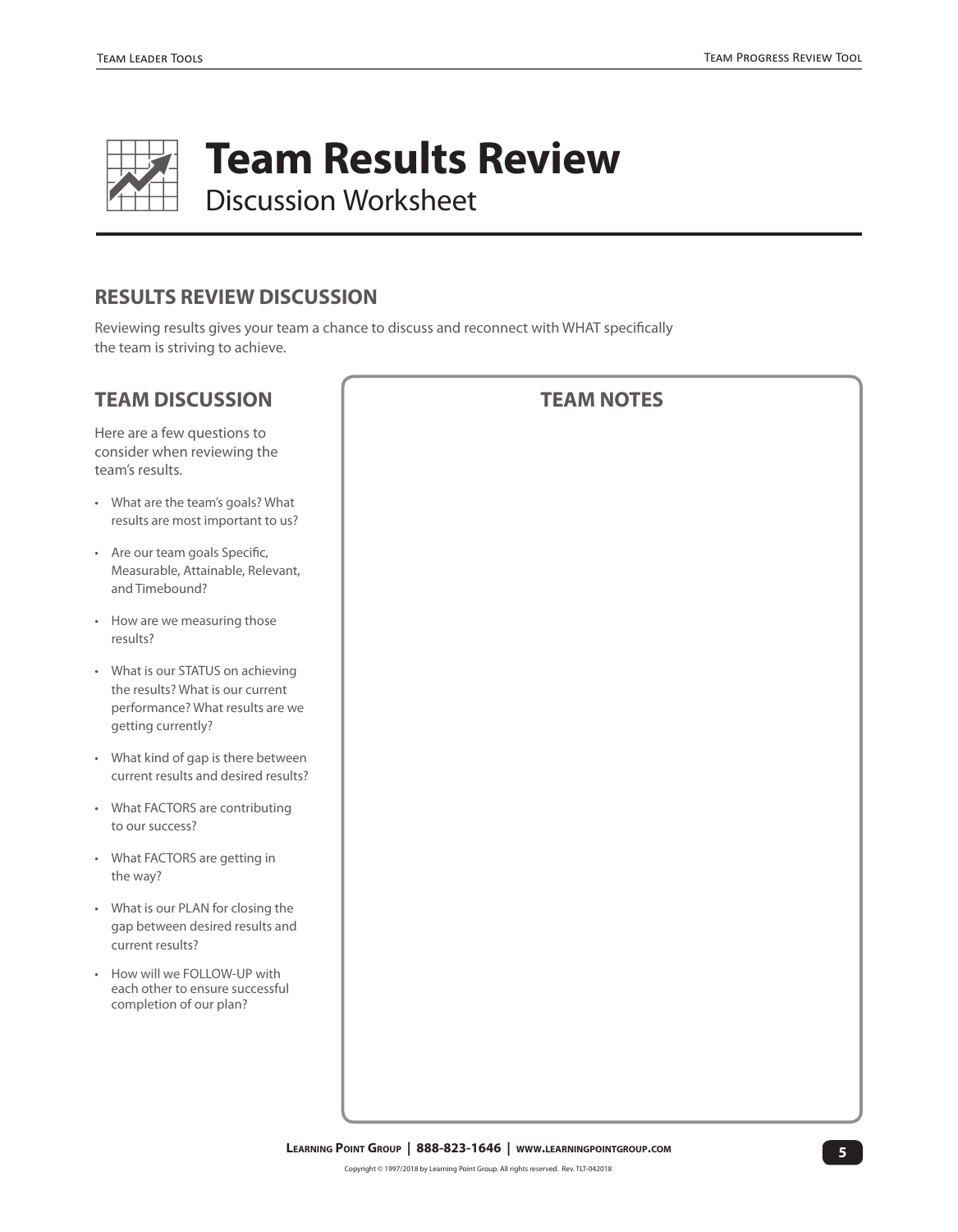

**Team Results Review** 

Discussion Worksheet

#### **RESULTS REVIEW DISCUSSION**

Reviewing results gives your team a chance to discuss and reconnect with WHAT specifically the team is striving to achieve.

#### **TEAM DISCUSSION** Here are a few questions to consider when reviewing the team's results. • What are the team's goals? What results are most important to us? • Are our team goals Specific, Measurable, Attainable, Relevant, and Timebound? • How are we measuring those results? • What is our STATUS on achieving the results? What is our current performance? What results are we getting currently? • What kind of gap is there between current results and desired results? • What FACTORS are contributing to our success? • What FACTORS are getting in the way? • What is our PLAN for closing the gap between desired results and current results? • How will we FOLLOW-UP with each other to ensure successful completion of our plan? **TEAM NOTES**

#### **5 Learning Point Group | 888-823-1646 | www.learningpointgroup.com**

Copyright © 1997/2018 by Learning Point Group. All rights reserved. Rev. TLT-042018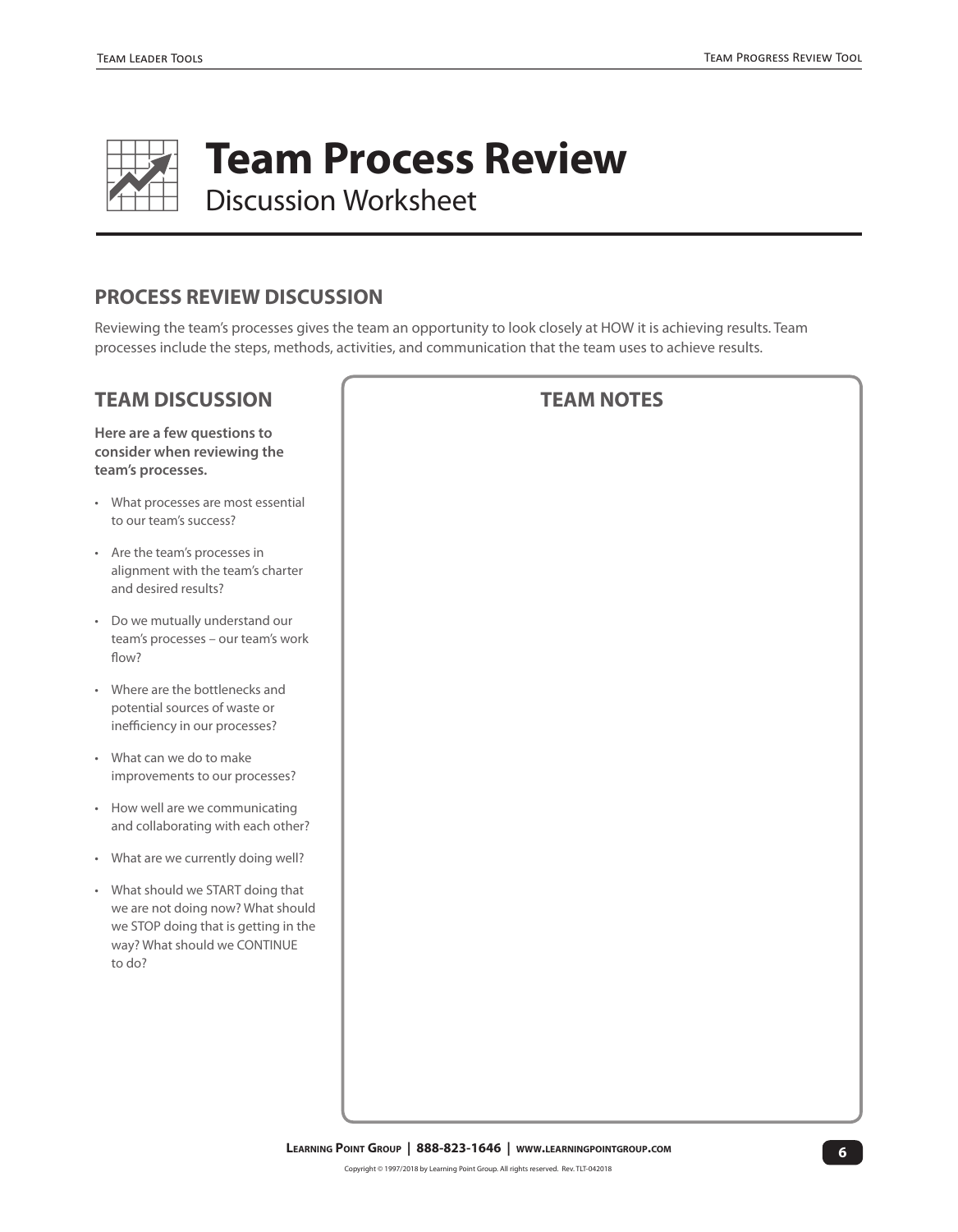

**Team Process Review** 

Discussion Worksheet

#### **PROCESS REVIEW DISCUSSION**

Reviewing the team's processes gives the team an opportunity to look closely at HOW it is achieving results. Team processes include the steps, methods, activities, and communication that the team uses to achieve results.

#### **TEAM DISCUSSION**

**Here are a few questions to consider when reviewing the team's processes.** 

- What processes are most essential to our team's success?
- Are the team's processes in alignment with the team's charter and desired results?
- Do we mutually understand our team's processes – our team's work flow?
- Where are the bottlenecks and potential sources of waste or inefficiency in our processes?
- What can we do to make improvements to our processes?
- How well are we communicating and collaborating with each other?
- What are we currently doing well?
- What should we START doing that we are not doing now? What should we STOP doing that is getting in the way? What should we CONTINUE to do?

#### **TEAM NOTES**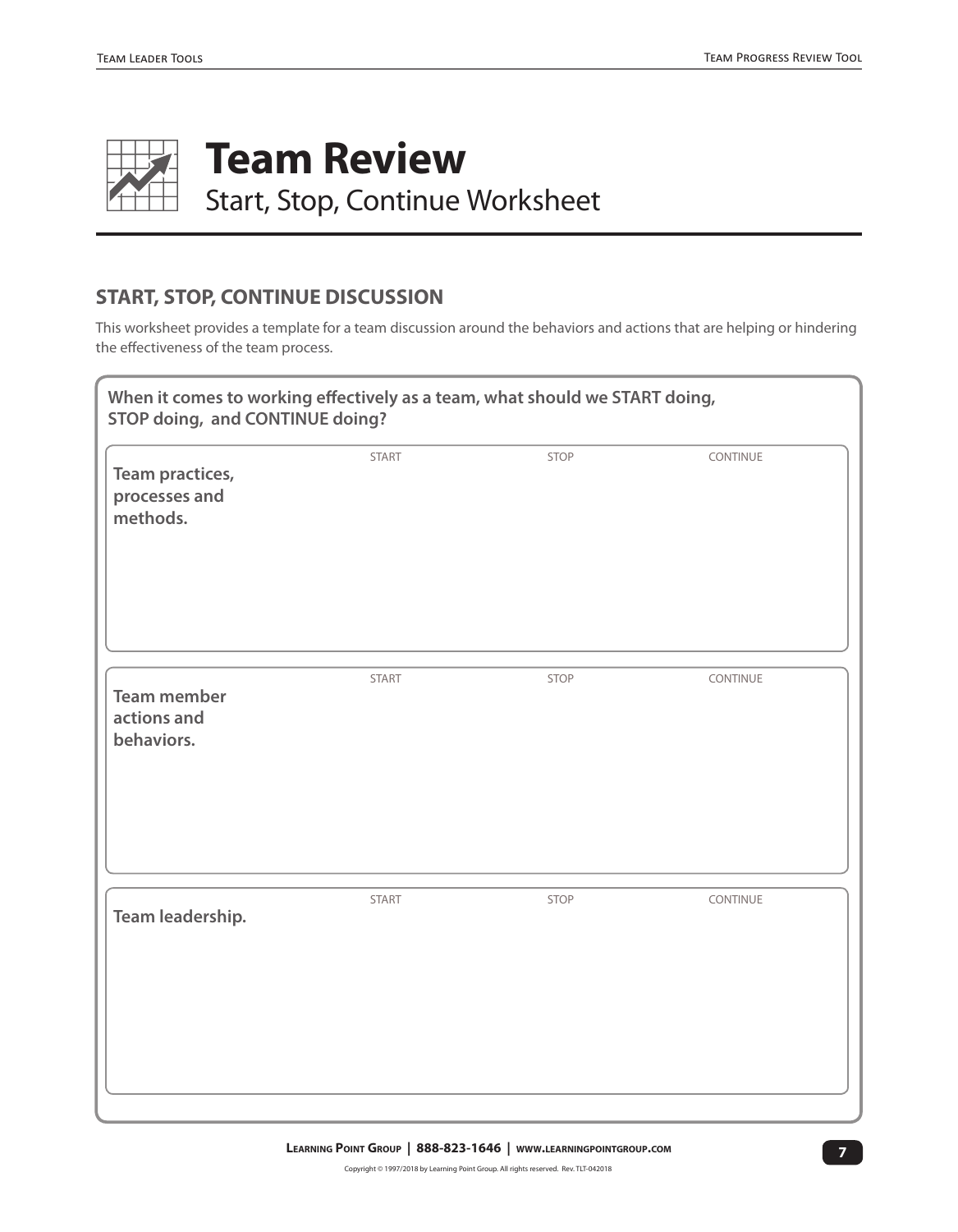

#### **START, STOP, CONTINUE DISCUSSION**

This worksheet provides a template for a team discussion around the behaviors and actions that are helping or hindering the effectiveness of the team process.

| When it comes to working effectively as a team, what should we START doing,<br>STOP doing, and CONTINUE doing? |       |      |          |
|----------------------------------------------------------------------------------------------------------------|-------|------|----------|
| Team practices,<br>processes and<br>methods.                                                                   | START | STOP | CONTINUE |
| <b>Team member</b>                                                                                             | START | STOP | CONTINUE |
| actions and<br>behaviors.                                                                                      |       |      |          |
| Team leadership.                                                                                               | START | STOP | CONTINUE |